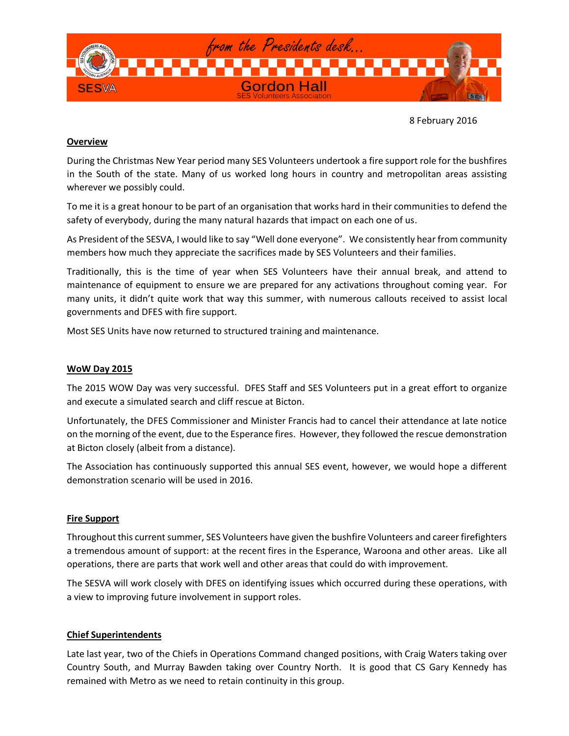

8 February 2016

### **Overview**

During the Christmas New Year period many SES Volunteers undertook a fire support role for the bushfires in the South of the state. Many of us worked long hours in country and metropolitan areas assisting wherever we possibly could.

To me it is a great honour to be part of an organisation that works hard in their communities to defend the safety of everybody, during the many natural hazards that impact on each one of us.

As President of the SESVA, I would like to say "Well done everyone". We consistently hear from community members how much they appreciate the sacrifices made by SES Volunteers and their families.

Traditionally, this is the time of year when SES Volunteers have their annual break, and attend to maintenance of equipment to ensure we are prepared for any activations throughout coming year. For many units, it didn't quite work that way this summer, with numerous callouts received to assist local governments and DFES with fire support.

Most SES Units have now returned to structured training and maintenance.

### **WoW Day 2015**

The 2015 WOW Day was very successful. DFES Staff and SES Volunteers put in a great effort to organize and execute a simulated search and cliff rescue at Bicton.

Unfortunately, the DFES Commissioner and Minister Francis had to cancel their attendance at late notice on the morning of the event, due to the Esperance fires. However, they followed the rescue demonstration at Bicton closely (albeit from a distance).

The Association has continuously supported this annual SES event, however, we would hope a different demonstration scenario will be used in 2016.

### **Fire Support**

Throughout this current summer, SES Volunteers have given the bushfire Volunteers and career firefighters a tremendous amount of support: at the recent fires in the Esperance, Waroona and other areas. Like all operations, there are parts that work well and other areas that could do with improvement.

The SESVA will work closely with DFES on identifying issues which occurred during these operations, with a view to improving future involvement in support roles.

### **Chief Superintendents**

Late last year, two of the Chiefs in Operations Command changed positions, with Craig Waters taking over Country South, and Murray Bawden taking over Country North. It is good that CS Gary Kennedy has remained with Metro as we need to retain continuity in this group.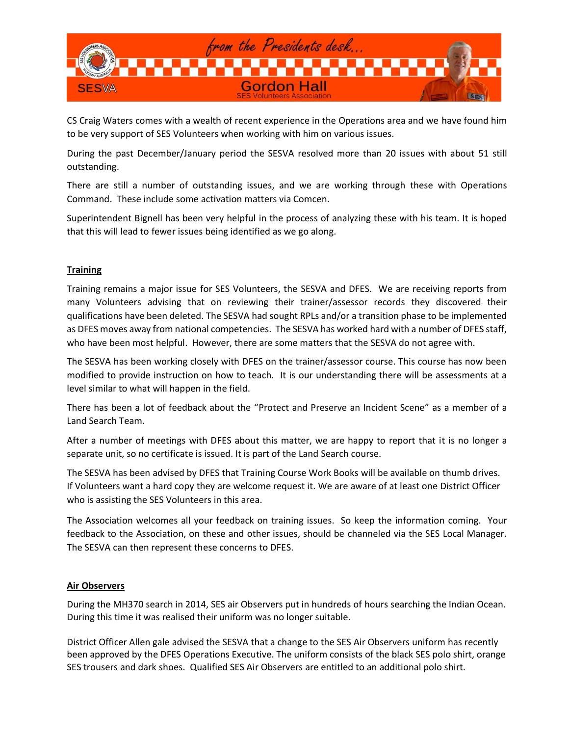

CS Craig Waters comes with a wealth of recent experience in the Operations area and we have found him to be very support of SES Volunteers when working with him on various issues.

During the past December/January period the SESVA resolved more than 20 issues with about 51 still outstanding.

There are still a number of outstanding issues, and we are working through these with Operations Command. These include some activation matters via Comcen.

Superintendent Bignell has been very helpful in the process of analyzing these with his team. It is hoped that this will lead to fewer issues being identified as we go along.

# **Training**

Training remains a major issue for SES Volunteers, the SESVA and DFES. We are receiving reports from many Volunteers advising that on reviewing their trainer/assessor records they discovered their qualifications have been deleted. The SESVA had sought RPLs and/or a transition phase to be implemented as DFES moves away from national competencies. The SESVA has worked hard with a number of DFES staff, who have been most helpful. However, there are some matters that the SESVA do not agree with.

The SESVA has been working closely with DFES on the trainer/assessor course. This course has now been modified to provide instruction on how to teach. It is our understanding there will be assessments at a level similar to what will happen in the field.

There has been a lot of feedback about the "Protect and Preserve an Incident Scene" as a member of a Land Search Team.

After a number of meetings with DFES about this matter, we are happy to report that it is no longer a separate unit, so no certificate is issued. It is part of the Land Search course.

The SESVA has been advised by DFES that Training Course Work Books will be available on thumb drives. If Volunteers want a hard copy they are welcome request it. We are aware of at least one District Officer who is assisting the SES Volunteers in this area.

The Association welcomes all your feedback on training issues. So keep the information coming. Your feedback to the Association, on these and other issues, should be channeled via the SES Local Manager. The SESVA can then represent these concerns to DFES.

### **Air Observers**

During the MH370 search in 2014, SES air Observers put in hundreds of hours searching the Indian Ocean. During this time it was realised their uniform was no longer suitable.

District Officer Allen gale advised the SESVA that a change to the SES Air Observers uniform has recently been approved by the DFES Operations Executive. The uniform consists of the black SES polo shirt, orange SES trousers and dark shoes. Qualified SES Air Observers are entitled to an additional polo shirt.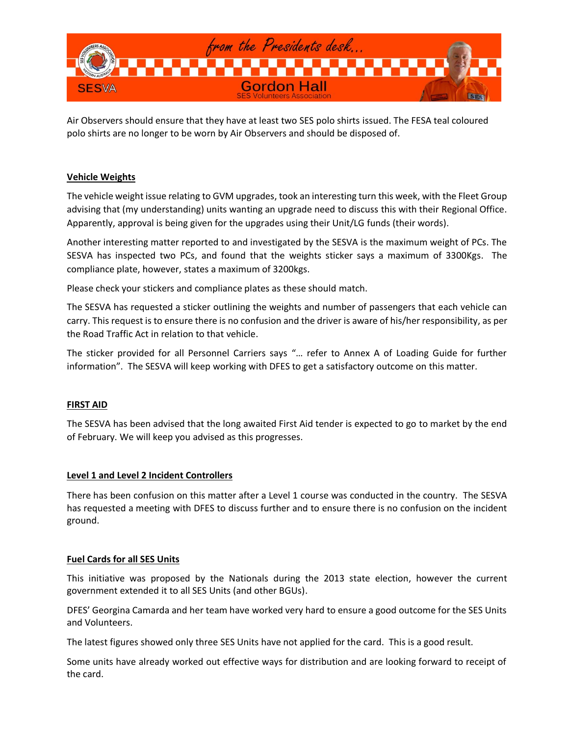

Air Observers should ensure that they have at least two SES polo shirts issued. The FESA teal coloured polo shirts are no longer to be worn by Air Observers and should be disposed of.

### **Vehicle Weights**

The vehicle weight issue relating to GVM upgrades, took an interesting turn this week, with the Fleet Group advising that (my understanding) units wanting an upgrade need to discuss this with their Regional Office. Apparently, approval is being given for the upgrades using their Unit/LG funds (their words).

Another interesting matter reported to and investigated by the SESVA is the maximum weight of PCs. The SESVA has inspected two PCs, and found that the weights sticker says a maximum of 3300Kgs. The compliance plate, however, states a maximum of 3200kgs.

Please check your stickers and compliance plates as these should match.

The SESVA has requested a sticker outlining the weights and number of passengers that each vehicle can carry. This request is to ensure there is no confusion and the driver is aware of his/her responsibility, as per the Road Traffic Act in relation to that vehicle.

The sticker provided for all Personnel Carriers says "… refer to Annex A of Loading Guide for further information". The SESVA will keep working with DFES to get a satisfactory outcome on this matter.

### **FIRST AID**

The SESVA has been advised that the long awaited First Aid tender is expected to go to market by the end of February. We will keep you advised as this progresses.

### **Level 1 and Level 2 Incident Controllers**

There has been confusion on this matter after a Level 1 course was conducted in the country. The SESVA has requested a meeting with DFES to discuss further and to ensure there is no confusion on the incident ground.

### **Fuel Cards for all SES Units**

This initiative was proposed by the Nationals during the 2013 state election, however the current government extended it to all SES Units (and other BGUs).

DFES' Georgina Camarda and her team have worked very hard to ensure a good outcome for the SES Units and Volunteers.

The latest figures showed only three SES Units have not applied for the card. This is a good result.

Some units have already worked out effective ways for distribution and are looking forward to receipt of the card.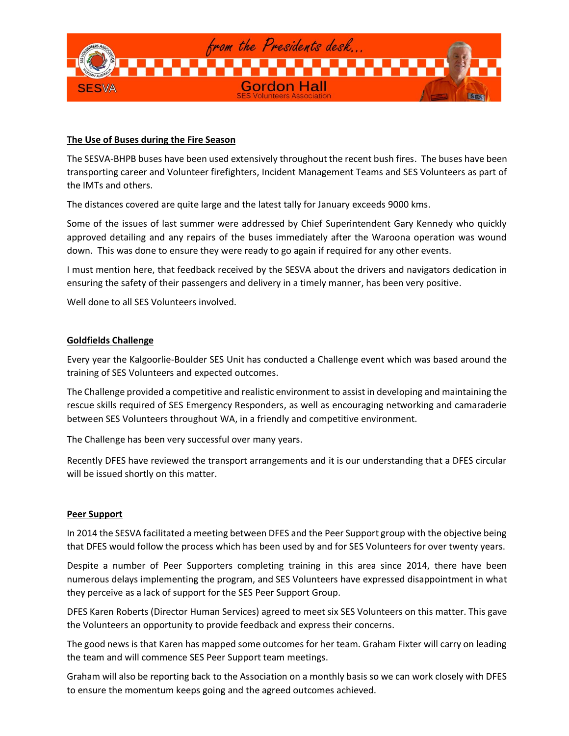

## **The Use of Buses during the Fire Season**

The SESVA-BHPB buses have been used extensively throughout the recent bush fires. The buses have been transporting career and Volunteer firefighters, Incident Management Teams and SES Volunteers as part of the IMTs and others.

The distances covered are quite large and the latest tally for January exceeds 9000 kms.

Some of the issues of last summer were addressed by Chief Superintendent Gary Kennedy who quickly approved detailing and any repairs of the buses immediately after the Waroona operation was wound down. This was done to ensure they were ready to go again if required for any other events.

I must mention here, that feedback received by the SESVA about the drivers and navigators dedication in ensuring the safety of their passengers and delivery in a timely manner, has been very positive.

Well done to all SES Volunteers involved.

# **Goldfields Challenge**

Every year the Kalgoorlie-Boulder SES Unit has conducted a Challenge event which was based around the training of SES Volunteers and expected outcomes.

The Challenge provided a competitive and realistic environment to assist in developing and maintaining the rescue skills required of SES Emergency Responders, as well as encouraging networking and camaraderie between SES Volunteers throughout WA, in a friendly and competitive environment.

The Challenge has been very successful over many years.

Recently DFES have reviewed the transport arrangements and it is our understanding that a DFES circular will be issued shortly on this matter.

### **Peer Support**

In 2014 the SESVA facilitated a meeting between DFES and the Peer Support group with the objective being that DFES would follow the process which has been used by and for SES Volunteers for over twenty years.

Despite a number of Peer Supporters completing training in this area since 2014, there have been numerous delays implementing the program, and SES Volunteers have expressed disappointment in what they perceive as a lack of support for the SES Peer Support Group.

DFES Karen Roberts (Director Human Services) agreed to meet six SES Volunteers on this matter. This gave the Volunteers an opportunity to provide feedback and express their concerns.

The good news is that Karen has mapped some outcomes for her team. Graham Fixter will carry on leading the team and will commence SES Peer Support team meetings.

Graham will also be reporting back to the Association on a monthly basis so we can work closely with DFES to ensure the momentum keeps going and the agreed outcomes achieved.